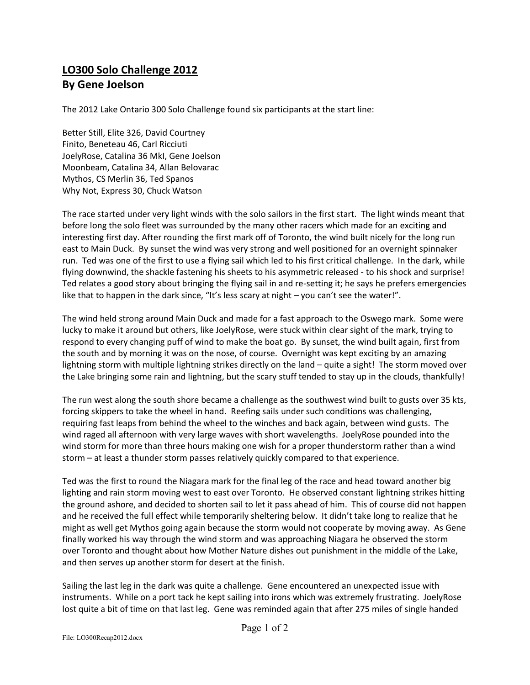## **LO300 Solo Challenge 2012 By Gene Joelson**

The 2012 Lake Ontario 300 Solo Challenge found six participants at the start line:

Better Still, Elite 326, David Courtney Finito, Beneteau 46, Carl Ricciuti JoelyRose, Catalina 36 MkI, Gene Joelson Moonbeam, Catalina 34, Allan Belovarac Mythos, CS Merlin 36, Ted Spanos Why Not, Express 30, Chuck Watson

The race started under very light winds with the solo sailors in the first start. The light winds meant that before long the solo fleet was surrounded by the many other racers which made for an exciting and interesting first day. After rounding the first mark off of Toronto, the wind built nicely for the long run east to Main Duck. By sunset the wind was very strong and well positioned for an overnight spinnaker run. Ted was one of the first to use a flying sail which led to his first critical challenge. In the dark, while flying downwind, the shackle fastening his sheets to his asymmetric released - to his shock and surprise! Ted relates a good story about bringing the flying sail in and re-setting it; he says he prefers emergencies like that to happen in the dark since, "It's less scary at night – you can't see the water!".

The wind held strong around Main Duck and made for a fast approach to the Oswego mark. Some were lucky to make it around but others, like JoelyRose, were stuck within clear sight of the mark, trying to respond to every changing puff of wind to make the boat go. By sunset, the wind built again, first from the south and by morning it was on the nose, of course. Overnight was kept exciting by an amazing lightning storm with multiple lightning strikes directly on the land – quite a sight! The storm moved over the Lake bringing some rain and lightning, but the scary stuff tended to stay up in the clouds, thankfully!

The run west along the south shore became a challenge as the southwest wind built to gusts over 35 kts, forcing skippers to take the wheel in hand. Reefing sails under such conditions was challenging, requiring fast leaps from behind the wheel to the winches and back again, between wind gusts. The wind raged all afternoon with very large waves with short wavelengths. JoelyRose pounded into the wind storm for more than three hours making one wish for a proper thunderstorm rather than a wind storm – at least a thunder storm passes relatively quickly compared to that experience.

Ted was the first to round the Niagara mark for the final leg of the race and head toward another big lighting and rain storm moving west to east over Toronto. He observed constant lightning strikes hitting the ground ashore, and decided to shorten sail to let it pass ahead of him. This of course did not happen and he received the full effect while temporarily sheltering below. It didn't take long to realize that he might as well get Mythos going again because the storm would not cooperate by moving away. As Gene finally worked his way through the wind storm and was approaching Niagara he observed the storm over Toronto and thought about how Mother Nature dishes out punishment in the middle of the Lake, and then serves up another storm for desert at the finish.

Sailing the last leg in the dark was quite a challenge. Gene encountered an unexpected issue with instruments. While on a port tack he kept sailing into irons which was extremely frustrating. JoelyRose lost quite a bit of time on that last leg. Gene was reminded again that after 275 miles of single handed